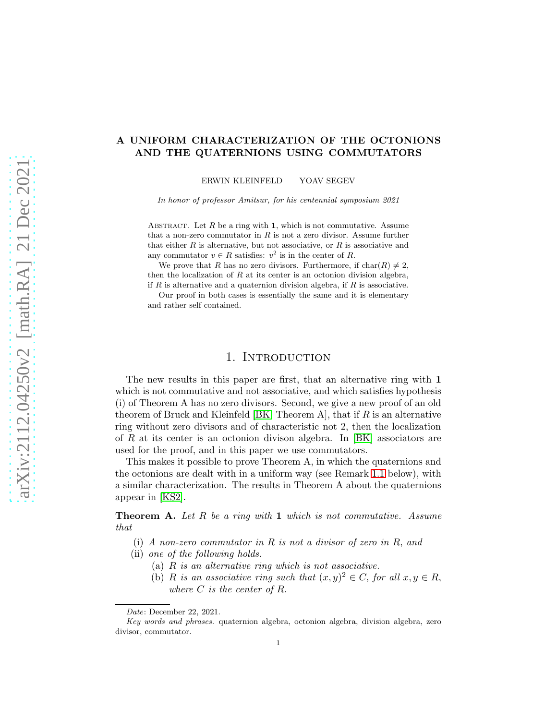### A UNIFORM CHARACTERIZATION OF THE OCTONIONS AND THE QUATERNIONS USING COMMUTATORS

ERWIN KLEINFELD YOAV SEGEV

In honor of professor Amitsur, for his centennial symposium 2021

ABSTRACT. Let  $R$  be a ring with 1, which is not commutative. Assume that a non-zero commutator in  $R$  is not a zero divisor. Assume further that either  $R$  is alternative, but not associative, or  $R$  is associative and any commutator  $v \in R$  satisfies:  $v^2$  is in the center of R.

We prove that R has no zero divisors. Furthermore, if  $char(R) \neq 2$ , then the localization of  $R$  at its center is an octonion division algebra, if  $R$  is alternative and a quaternion division algebra, if  $R$  is associative.

Our proof in both cases is essentially the same and it is elementary and rather self contained.

## 1. Introduction

The new results in this paper are first, that an alternative ring with 1 which is not commutative and not associative, and which satisfies hypothesis (i) of Theorem A has no zero divisors. Second, we give a new proof of an old theorem of Bruck and Kleinfeld [\[BK,](#page-6-0) Theorem A], that if  $R$  is an alternative ring without zero divisors and of characteristic not 2, then the localization of R at its center is an octonion divison algebra. In  $|BK|$  associators are used for the proof, and in this paper we use commutators.

This makes it possible to prove Theorem A, in which the quaternions and the octonions are dealt with in a uniform way (see Remark [1.1](#page-1-0) below), with a similar characterization. The results in Theorem A about the quaternions appear in [\[KS2\]](#page-6-1).

**Theorem A.** Let R be a ring with 1 which is not commutative. Assume that

- (i) A non-zero commutator in R is not a divisor of zero in R, and
- (ii) one of the following holds.
	- (a) R is an alternative ring which is not associative.
	- (b) R is an associative ring such that  $(x, y)^2 \in C$ , for all  $x, y \in R$ , where  $C$  is the center of  $R$ .

Date: December 22, 2021.

Key words and phrases. quaternion algebra, octonion algebra, division algebra, zero divisor, commutator.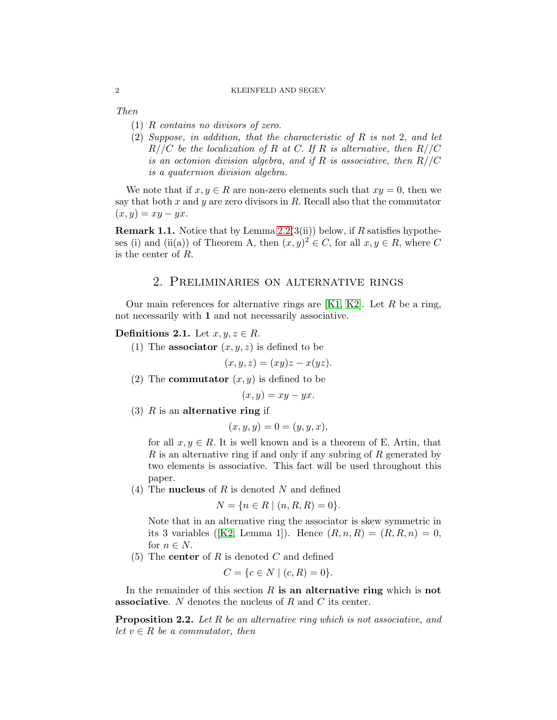#### 2 KLEINFELD AND SEGEV

Then

- (1) R contains no divisors of zero.
- (2) Suppose, in addition, that the characteristic of R is not 2, and let  $R//C$  be the localization of R at C. If R is alternative, then  $R//C$ is an octonion division algebra, and if R is associative, then  $R//C$ is a quaternion division algebra.

We note that if  $x, y \in R$  are non-zero elements such that  $xy = 0$ , then we say that both x and y are zero divisors in R. Recall also that the commutator  $(x, y) = xy - yx.$ 

<span id="page-1-0"></span>**Remark 1.1.** Notice that by Lemma [2.2\(](#page-1-1)3(ii)) below, if R satisfies hypotheses (i) and (ii(a)) of Theorem A, then  $(x, y)^2 \in C$ , for all  $x, y \in R$ , where C is the center of R.

# 2. Preliminaries on alternative rings

Our main references for alternative rings are  $[K1, K2]$  $[K1, K2]$ . Let R be a ring, not necessarily with 1 and not necessarily associative.

#### Definitions 2.1. Let  $x, y, z \in R$ .

(1) The **associator**  $(x, y, z)$  is defined to be

$$
(x, y, z) = (xy)z - x(yz).
$$

(2) The **commutator**  $(x, y)$  is defined to be

$$
(x, y) = xy - yx.
$$

(3)  $R$  is an alternative ring if

$$
(x, y, y) = 0 = (y, y, x),
$$

for all  $x, y \in R$ . It is well known and is a theorem of E. Artin, that  $R$  is an alternative ring if and only if any subring of  $R$  generated by two elements is associative. This fact will be used throughout this paper.

(4) The **nucleus** of  $R$  is denoted  $N$  and defined

$$
N = \{ n \in R \mid (n, R, R) = 0 \}.
$$

Note that in an alternative ring the associator is skew symmetric in its 3 variables ([\[K2,](#page-6-3) Lemma 1]). Hence  $(R, n, R) = (R, R, n) = 0$ , for  $n \in N$ .

(5) The **center** of R is denoted C and defined

$$
C = \{c \in N \mid (c, R) = 0\}.
$$

In the remainder of this section  $R$  is an alternative ring which is not **associative.** N denotes the nucleus of R and C its center.

<span id="page-1-1"></span>Proposition 2.2. Let R be an alternative ring which is not associative, and let  $v \in R$  be a commutator, then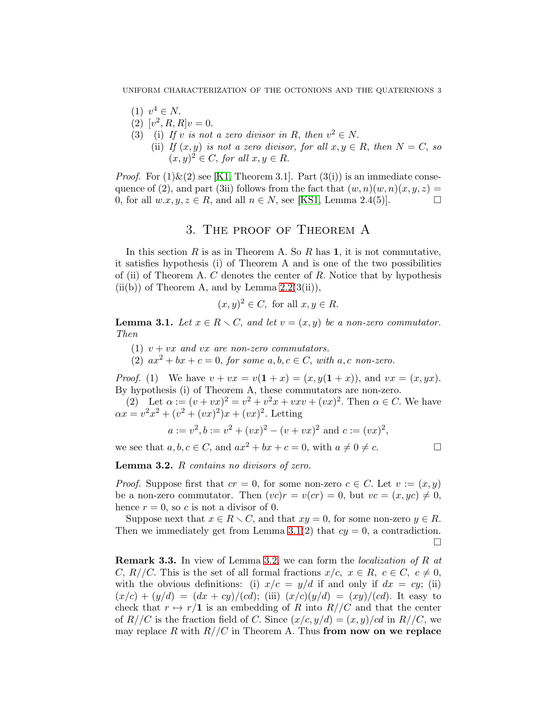UNIFORM CHARACTERIZATION OF THE OCTONIONS AND THE QUATERNIONS 3

- (1)  $v^4 \in N$ .
- (2)  $[v^2, R, R]v = 0.$
- (3) (i) If v is not a zero divisor in R, then  $v^2 \in N$ .
- (ii) If  $(x, y)$  is not a zero divisor, for all  $x, y \in R$ , then  $N = C$ , so  $(x, y)^2 \in C$ , for all  $x, y \in R$ .

*Proof.* For  $(1)$  &  $(2)$  see [\[K1,](#page-6-2) Theorem 3.1]. Part  $(3(i))$  is an immediate consequence of (2), and part (3ii) follows from the fact that  $(w, n)(w, n)(x, y, z) =$ 0, for all  $w.x, y, z \in R$ , and all  $n \in N$ , see [\[KS1,](#page-6-4) Lemma 2.4(5)].

## 3. The proof of Theorem A

In this section R is as in Theorem A. So R has 1, it is not commutative, it satisfies hypothesis (i) of Theorem A and is one of the two possibilities of (ii) of Theorem A. C denotes the center of R. Notice that by hypothesis  $(ii(b))$  of Theorem A, and by Lemma  $2.2(3(ii)),$ 

$$
(x, y)^2 \in C
$$
, for all  $x, y \in R$ .

<span id="page-2-0"></span>**Lemma 3.1.** Let  $x \in R \setminus C$ , and let  $v = (x, y)$  be a non-zero commutator. Then

(1)  $v + vx$  and vx are non-zero commutators.

(2)  $ax^2 + bx + c = 0$ , for some  $a, b, c \in C$ , with  $a, c$  non-zero.

*Proof.* (1) We have  $v + vx = v(1 + x) = (x, y(1 + x))$ , and  $vx = (x, yx)$ . By hypothesis (i) of Theorem A, these commutators are non-zero.

(2) Let  $\alpha := (v + vx)^2 = v^2 + v^2x + vxv + (vx)^2$ . Then  $\alpha \in C$ . We have  $\alpha x = v^2 x^2 + (v^2 + (vx)^2)x + (vx)^2$ . Letting

$$
a := v2, b := v2 + (vx)2 - (v + vx)2
$$
 and  $c := (vx)2$ ,

we see that  $a, b, c \in C$ , and  $ax^2 + bx + c = 0$ , with  $a \neq 0 \neq c$ .

<span id="page-2-1"></span>Lemma 3.2. R contains no divisors of zero.

*Proof.* Suppose first that  $cr = 0$ , for some non-zero  $c \in C$ . Let  $v := (x, y)$ be a non-zero commutator. Then  $(vc)r = v(cr) = 0$ , but  $vc = (x, yc) \neq 0$ , hence  $r = 0$ , so c is not a divisor of 0.

Suppose next that  $x \in R \setminus C$ , and that  $xy = 0$ , for some non-zero  $y \in R$ . Then we immediately get from Lemma [3.1\(](#page-2-0)2) that  $cy = 0$ , a contradiction.  $\Box$ 

<span id="page-2-2"></span>Remark 3.3. In view of Lemma [3.2,](#page-2-1) we can form the localization of R at C, R//C. This is the set of all formal fractions  $x/c, x \in R, c \in C, c \neq 0$ , with the obvious definitions: (i)  $x/c = y/d$  if and only if  $dx = cy$ ; (ii)  $(x/c) + (y/d) = (dx + cy)/(cd);$  (iii)  $(x/c)(y/d) = (xy)/(cd).$  It easy to check that  $r \mapsto r/1$  is an embedding of R into  $R//C$  and that the center of  $R//C$  is the fraction field of C. Since  $(x/c, y/d) = (x, y)/cd$  in  $R//C$ , we may replace R with  $R//C$  in Theorem A. Thus from now on we replace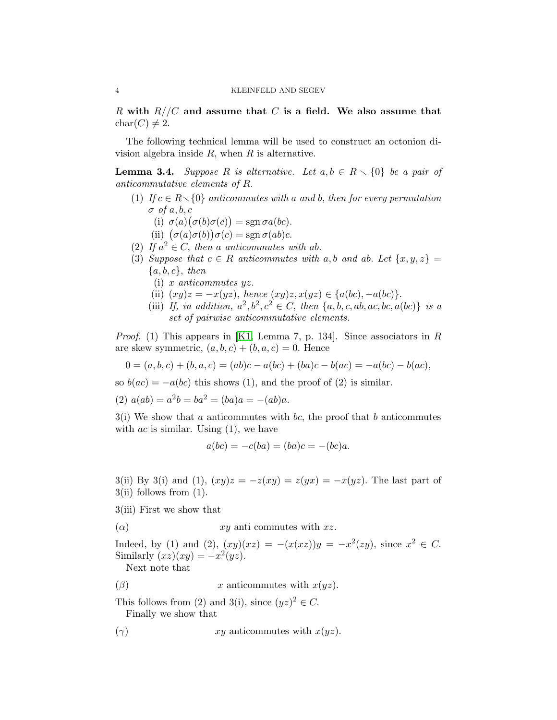R with  $R//C$  and assume that C is a field. We also assume that  $char(C) \neq 2.$ 

The following technical lemma will be used to construct an octonion division algebra inside  $R$ , when  $R$  is alternative.

<span id="page-3-0"></span>**Lemma 3.4.** Suppose R is alternative. Let  $a, b \in R \setminus \{0\}$  be a pair of anticommutative elements of R.

- (1) If  $c \in R \setminus \{0\}$  anticommutes with a and b, then for every permutation  $\sigma$  of a, b, c
	- (i)  $\sigma(a)(\sigma(b)\sigma(c)) = \text{sgn}\,\sigma a(bc).$
	- (ii)  $(\sigma(a)\sigma(b))\sigma(c) = \text{sgn }\sigma(ab)c$ .
- (2) If  $a^2 \in C$ , then a anticommutes with ab.
- (3) Suppose that  $c \in R$  anticommutes with a, b and ab. Let  $\{x, y, z\} =$  ${a, b, c}, then$ 
	- (i) x anticommutes yz.
	- (ii)  $(xy)z = -x(yz)$ , hence  $(xy)z, x(yz) \in \{a(bc), -a(bc)\}.$
	- (iii) If, in addition,  $a^2, b^2, c^2 \in C$ , then  $\{a, b, c, ab, ac, bc, a(bc)\}\$  is a set of pairwise anticommutative elements.

*Proof.* (1) This appears in [\[K1,](#page-6-2) Lemma 7, p. 134]. Since associators in R are skew symmetric,  $(a, b, c) + (b, a, c) = 0$ . Hence

$$
0 = (a, b, c) + (b, a, c) = (ab)c - a(bc) + (ba)c - b(ac) = -a(bc) - b(ac),
$$

so  $b(ac) = -a(bc)$  this shows (1), and the proof of (2) is similar.

(2) 
$$
a(ab) = a^2b = ba^2 = (ba)a = -(ab)a
$$
.

 $3(i)$  We show that a anticommutes with bc, the proof that b anticommutes with  $ac$  is similar. Using  $(1)$ , we have

$$
a(bc) = -c(ba) = (ba)c = -(bc)a.
$$

3(ii) By 3(i) and (1),  $(xy)z = -z(xy) = z(yx) = -x(yz)$ . The last part of  $3(ii)$  follows from  $(1)$ .

3(iii) First we show that

( $\alpha$ )  $xy$  anti commutes with  $xz$ .

Indeed, by (1) and (2),  $(xy)(xz) = -(x(xz))y = -x^2(zy)$ , since  $x^2 \in C$ . Similarly  $(xz)(xy) = -x^2(yz)$ .

Next note that

( $\beta$ ) x anticommutes with  $x(yz)$ .

This follows from (2) and 3(i), since  $(yz)^2 \in C$ . Finally we show that

( $\gamma$ )  $xy$  anticommutes with  $x(yz)$ .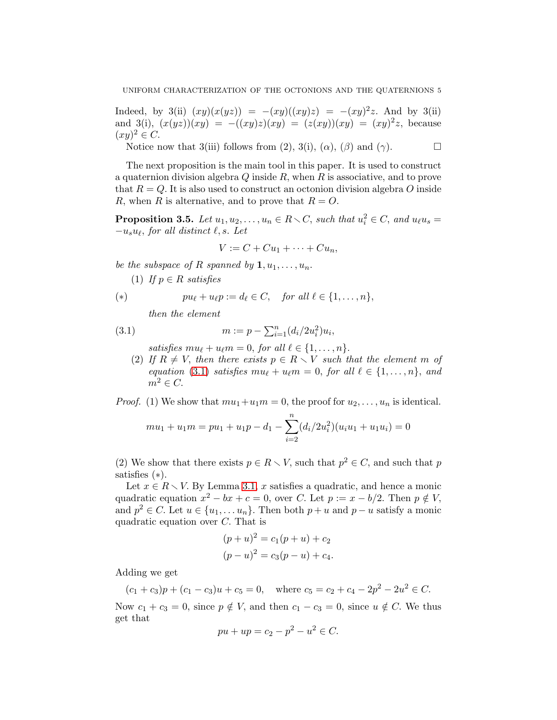Indeed, by 3(ii)  $(xy)(x(yz)) = -(xy)((xy)z) = -(xy)^2z$ . And by 3(ii) and 3(i),  $(x(yz))(xy) = -((xy)z)(xy) = (z(xy))(xy) = (xy)^2z$ , because  $(xy)^2 \in C.$ 

Notice now that 3(iii) follows from (2), 3(i),  $(\alpha)$ ,  $(\beta)$  and  $(\gamma)$ .

The next proposition is the main tool in this paper. It is used to construct a quaternion division algebra  $Q$  inside  $R$ , when  $R$  is associative, and to prove that  $R = Q$ . It is also used to construct an octonion division algebra O inside R, when R is alternative, and to prove that  $R = O$ .

<span id="page-4-1"></span>**Proposition 3.5.** Let  $u_1, u_2, \ldots, u_n \in R \setminus C$ , such that  $u_i^2 \in C$ , and  $u_\ell u_s =$  $-u_s u_\ell$ , for all distinct  $\ell$ , s. Let

$$
V := C + Cu_1 + \cdots + Cu_n,
$$

be the subspace of R spanned by  $1, u_1, \ldots, u_n$ .

(1) If  $p \in R$  satisfies

(\*) 
$$
pu_{\ell} + u_{\ell}p := d_{\ell} \in C, \quad \text{for all } \ell \in \{1, \ldots, n\},
$$

<span id="page-4-0"></span>then the element

(3.1) 
$$
m := p - \sum_{i=1}^{n} (d_i/2u_i^2)u_i,
$$

satisfies  $mu_{\ell} + u_{\ell}m = 0$ , for all  $\ell \in \{1, ..., n\}$ .

(2) If  $R \neq V$ , then there exists  $p \in R \setminus V$  such that the element m of equation [\(3.1\)](#page-4-0) satisfies  $mu_{\ell} + u_{\ell}m = 0$ , for all  $\ell \in \{1, ..., n\}$ , and  $m^2 \in C$ .

*Proof.* (1) We show that  $mu_1+u_1m=0$ , the proof for  $u_2,\ldots,u_n$  is identical.

$$
mu_1 + u_1 m = pu_1 + u_1 p - d_1 - \sum_{i=2}^{n} (d_i/2u_i^2)(u_i u_1 + u_1 u_i) = 0
$$

(2) We show that there exists  $p \in R \setminus V$ , such that  $p^2 \in C$ , and such that p satisfies (∗).

Let  $x \in R \setminus V$ . By Lemma [3.1,](#page-2-0) x satisfies a quadratic, and hence a monic quadratic equation  $x^2 - bx + c = 0$ , over C. Let  $p := x - b/2$ . Then  $p \notin V$ , and  $p^2 \in C$ . Let  $u \in \{u_1, \ldots u_n\}$ . Then both  $p + u$  and  $p - u$  satisfy a monic quadratic equation over C. That is

$$
(p+u)^2 = c_1(p+u) + c_2
$$
  

$$
(p-u)^2 = c_3(p-u) + c_4.
$$

Adding we get

 $(c_1 + c_3)p + (c_1 - c_3)u + c_5 = 0$ , where  $c_5 = c_2 + c_4 - 2p^2 - 2u^2 \in C$ .

Now  $c_1 + c_3 = 0$ , since  $p \notin V$ , and then  $c_1 - c_3 = 0$ , since  $u \notin C$ . We thus get that

$$
pu + up = c_2 - p^2 - u^2 \in C.
$$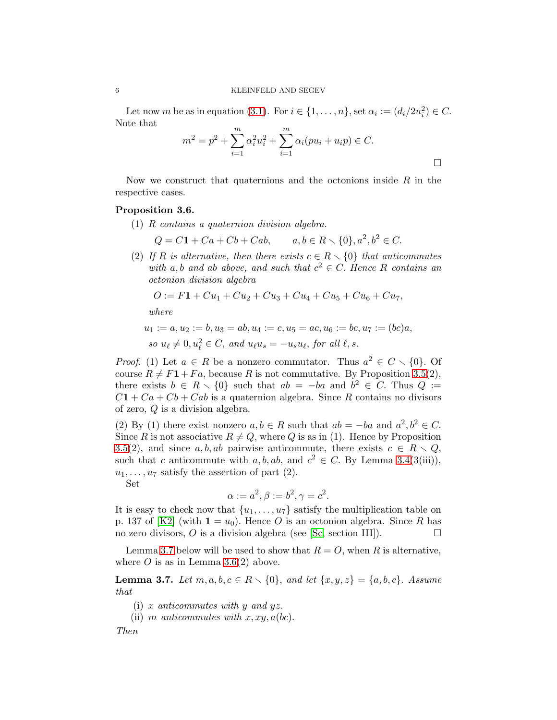Let now m be as in equation [\(3.1\)](#page-4-0). For  $i \in \{1, \ldots, n\}$ , set  $\alpha_i := (d_i/2u_i^2) \in C$ . Note that

$$
m^{2} = p^{2} + \sum_{i=1}^{m} \alpha_{i}^{2} u_{i}^{2} + \sum_{i=1}^{m} \alpha_{i} (pu_{i} + u_{i} p) \in C.
$$

Now we construct that quaternions and the octonions inside  $R$  in the respective cases.

#### <span id="page-5-1"></span>Proposition 3.6.

(1) R contains a quaternion division algebra.

$$
Q = C1 + Ca + Cb + Cab, \t a, b \in R \setminus \{0\}, a^2, b^2 \in C.
$$

(2) If R is alternative, then there exists  $c \in R \setminus \{0\}$  that anticommutes with a, b and ab above, and such that  $c^2 \in C$ . Hence R contains an octonion division algebra

$$
O := F1 + Cu_1 + Cu_2 + Cu_3 + Cu_4 + Cu_5 + Cu_6 + Cu_7,
$$

where

$$
u_1 := a, u_2 := b, u_3 = ab, u_4 := c, u_5 = ac, u_6 := bc, u_7 := (bc)a,
$$
  
so  $u_{\ell} \neq 0, u_{\ell}^2 \in C$ , and  $u_{\ell}u_s = -u_s u_{\ell}$ , for all  $\ell, s$ .

*Proof.* (1) Let  $a \in R$  be a nonzero commutator. Thus  $a^2 \in C \setminus \{0\}$ . Of course  $R \neq F1+F_a$ , because R is not commutative. By Proposition [3.5\(](#page-4-1)2), there exists  $b \in R \setminus \{0\}$  such that  $ab = -ba$  and  $b^2 \in C$ . Thus  $Q :=$  $C1 + Ca + Cb + Cab$  is a quaternion algebra. Since R contains no divisors of zero, Q is a division algebra.

(2) By (1) there exist nonzero  $a, b \in R$  such that  $ab = -ba$  and  $a^2, b^2 \in C$ . Since R is not associative  $R \neq Q$ , where Q is as in (1). Hence by Proposition [3.5\(](#page-4-1)2), and since a, b, ab pairwise anticommute, there exists  $c \in R \setminus Q$ , such that c anticommute with  $a, b, ab$ , and  $c^2 \in C$ . By Lemma [3.4\(](#page-3-0)3(iii)),  $u_1, \ldots, u_7$  satisfy the assertion of part (2).

Set

$$
\alpha := a^2, \beta := b^2, \gamma = c^2.
$$

It is easy to check now that  $\{u_1, \ldots, u_7\}$  satisfy the multiplication table on p. 137 of [\[K2\]](#page-6-3) (with  $1 = u_0$ ). Hence O is an octonion algebra. Since R has no zero divisors, O is a division algebra (see [\[Sc,](#page-7-0) section III]).  $\Box$ 

Lemma [3.7](#page-5-0) below will be used to show that  $R = O$ , when R is alternative, where  $O$  is as in Lemma [3.6\(](#page-5-1)2) above.

<span id="page-5-0"></span>**Lemma 3.7.** Let  $m, a, b, c \in R \setminus \{0\}$ , and let  $\{x, y, z\} = \{a, b, c\}$ . Assume that

(i) x anticommutes with y and  $yz$ .

(ii) m anticommutes with  $x, xy, a(bc)$ .

Then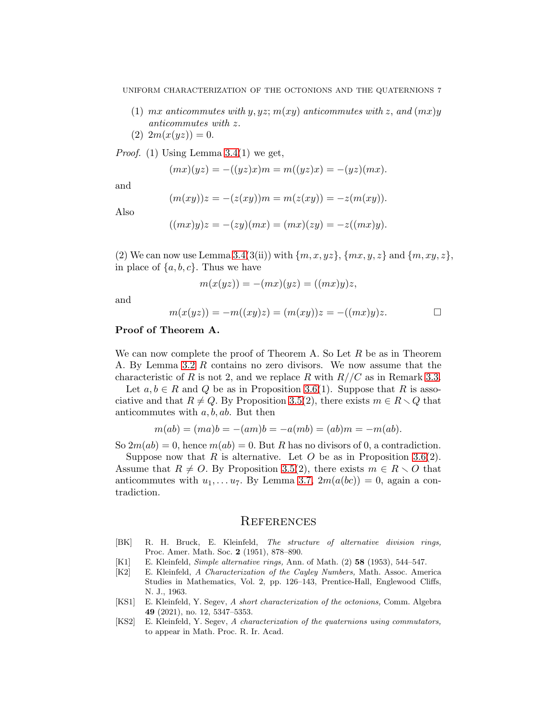- (1) mx anticommutes with y, yz;  $m(xy)$  anticommutes with z, and  $(mx)y$ anticommutes with z.
- (2)  $2m(x(yz)) = 0.$

*Proof.* (1) Using Lemma  $3.4(1)$  we get,

$$
(mx)(yz) = -((yz)x)m = m((yz)x) = -(yz)(mx).
$$

and

$$
(m(xy))z = -(z(xy))m = m(z(xy)) = -z(m(xy)).
$$

Also

$$
((mx)y)z = -(zy)(mx) = (mx)(zy) = -z((mx)y).
$$

(2) We can now use Lemma [3.4\(](#page-3-0)3(ii)) with  $\{m, x, yz\}$ ,  $\{mx, y, z\}$  and  $\{m, xy, z\}$ , in place of  $\{a, b, c\}$ . Thus we have

$$
m(x(yz)) = -(mx)(yz) = ((mx)y)z,
$$

and

$$
m(x(yz)) = -m((xy)z) = (m(xy))z = -((mx)y)z.
$$

#### Proof of Theorem A.

We can now complete the proof of Theorem A. So Let  $R$  be as in Theorem A. By Lemma [3.2](#page-2-1) R contains no zero divisors. We now assume that the characteristic of R is not 2, and we replace R with  $R//C$  as in Remark [3.3.](#page-2-2)

Let  $a, b \in R$  and Q be as in Proposition [3.6\(](#page-5-1)1). Suppose that R is associative and that  $R \neq Q$ . By Proposition [3.5\(](#page-4-1)2), there exists  $m \in R \setminus Q$  that anticommutes with  $a, b, ab$ . But then

$$
m(ab) = (ma)b = -(am)b = -a(mb) = (ab)m = -m(ab).
$$

So  $2m(ab) = 0$ , hence  $m(ab) = 0$ . But R has no divisors of 0, a contradiction.

Suppose now that R is alternative. Let O be as in Proposition [3.6\(](#page-5-1)2). Assume that  $R \neq O$ . By Proposition [3.5\(](#page-4-1)2), there exists  $m \in R \setminus O$  that anticommutes with  $u_1, \ldots u_7$ . By Lemma [3.7,](#page-5-0)  $2m(a(bc)) = 0$ , again a contradiction.

### **REFERENCES**

- <span id="page-6-0"></span>[BK] R. H. Bruck, E. Kleinfeld, The structure of alternative division rings, Proc. Amer. Math. Soc. 2 (1951), 878–890.
- <span id="page-6-2"></span>[K1] E. Kleinfeld, Simple alternative rings, Ann. of Math. (2) 58 (1953), 544–547.
- <span id="page-6-3"></span>[K2] E. Kleinfeld, A Characterization of the Cayley Numbers, Math. Assoc. America Studies in Mathematics, Vol. 2, pp. 126–143, Prentice-Hall, Englewood Cliffs, N. J., 1963.
- <span id="page-6-4"></span>[KS1] E. Kleinfeld, Y. Segev, A short characterization of the octonions, Comm. Algebra 49 (2021), no. 12, 5347–5353.
- <span id="page-6-1"></span>[KS2] E. Kleinfeld, Y. Segev, A characterization of the quaternions using commutators, to appear in Math. Proc. R. Ir. Acad.